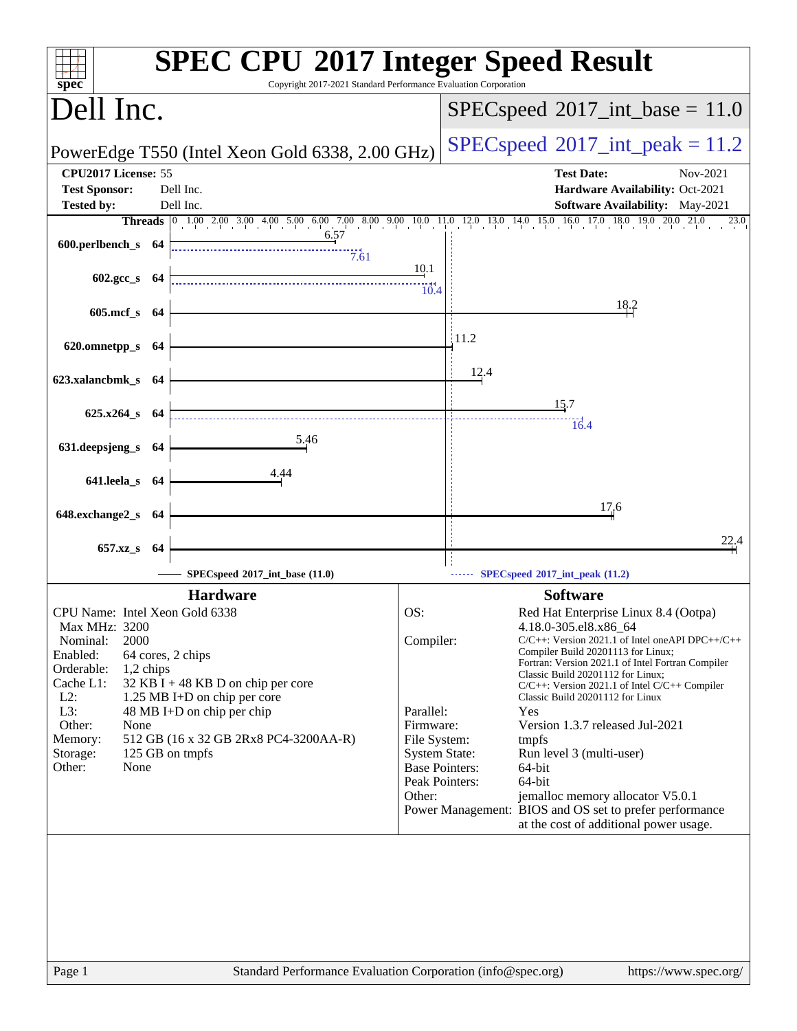| Dell Inc.<br>$SPEC speed^{\circ}2017\_int\_base = 11.0$<br>$SPEC speed^{\circ}2017\_int\_peak = 11.2$<br>PowerEdge T550 (Intel Xeon Gold 6338, 2.00 GHz)<br>CPU2017 License: 55<br><b>Test Date:</b><br>Nov-2021<br><b>Test Sponsor:</b><br>Dell Inc.<br>Hardware Availability: Oct-2021<br><b>Tested by:</b><br>Dell Inc.<br><b>Software Availability:</b> May-2021<br><b>Threads</b> 0 1.00 2.00 3.00 4.00 5.00 6.00 7.00 8.00 9.00 10.0 11.0 12.0 13.0 14.0 15.0 16.0 17.0 18.0 19.0 20.0 21.0<br>23.0<br>6.57<br>600.perlbench_s 64<br>7.61<br><u>10.1</u><br>$602.\text{gcc s}$ 64<br>10.4<br>18.2<br>605.mcf_s 64<br>$\frac{11.2}{2}$<br>620.omnetpp_s 64<br>12.4<br>623.xalancbmk_s 64<br>15.7<br>$625.x264$ <sub>S</sub> $64$<br>$\frac{1}{6.4}$<br>5.46<br>631.deepsjeng_s 64<br>641.leela_s 64<br>17,6<br>648.exchange2_s 64<br>22,4<br>657.xz_s 64<br>SPECspeed®2017_int_base (11.0)<br>SPECspeed <sup>®</sup> 2017_int_peak (11.2)<br><b>Hardware</b><br><b>Software</b><br>OS:<br>Red Hat Enterprise Linux 8.4 (Ootpa)<br>CPU Name: Intel Xeon Gold 6338<br>4.18.0-305.el8.x86_64<br>Max MHz: 3200<br>Compiler:<br>2000<br>$C/C++$ : Version 2021.1 of Intel one API DPC++/C++<br>Nominal:<br>Compiler Build 20201113 for Linux;<br>Enabled:<br>64 cores, 2 chips<br>Fortran: Version 2021.1 of Intel Fortran Compiler<br>Orderable:<br>1,2 chips<br>Classic Build 20201112 for Linux;<br>Cache L1:<br>$32$ KB I + 48 KB D on chip per core<br>$C/C++$ : Version 2021.1 of Intel $C/C++$ Compiler<br>$L2$ :<br>1.25 MB I+D on chip per core<br>Classic Build 20201112 for Linux<br>L3:<br>48 MB I+D on chip per chip<br>Parallel:<br>Yes<br>Other:<br>Firmware:<br>Version 1.3.7 released Jul-2021<br>None<br>Memory:<br>512 GB (16 x 32 GB 2Rx8 PC4-3200AA-R)<br>File System:<br>tmpfs<br>125 GB on tmpfs<br>Storage:<br><b>System State:</b><br>Run level 3 (multi-user)<br>Other:<br>None<br><b>Base Pointers:</b><br>64-bit<br>Peak Pointers:<br>64-bit<br>Other:<br>jemalloc memory allocator V5.0.1<br>Power Management: BIOS and OS set to prefer performance<br>at the cost of additional power usage.<br>Standard Performance Evaluation Corporation (info@spec.org)<br>Page 1<br>https://www.spec.org/ | $spec^*$ | <b>SPEC CPU®2017 Integer Speed Result</b><br>Copyright 2017-2021 Standard Performance Evaluation Corporation |  |  |
|-------------------------------------------------------------------------------------------------------------------------------------------------------------------------------------------------------------------------------------------------------------------------------------------------------------------------------------------------------------------------------------------------------------------------------------------------------------------------------------------------------------------------------------------------------------------------------------------------------------------------------------------------------------------------------------------------------------------------------------------------------------------------------------------------------------------------------------------------------------------------------------------------------------------------------------------------------------------------------------------------------------------------------------------------------------------------------------------------------------------------------------------------------------------------------------------------------------------------------------------------------------------------------------------------------------------------------------------------------------------------------------------------------------------------------------------------------------------------------------------------------------------------------------------------------------------------------------------------------------------------------------------------------------------------------------------------------------------------------------------------------------------------------------------------------------------------------------------------------------------------------------------------------------------------------------------------------------------------------------------------------------------------------------------------------------------------------------------------------------------------------------------------------------------------------------------------------------------------------|----------|--------------------------------------------------------------------------------------------------------------|--|--|
|                                                                                                                                                                                                                                                                                                                                                                                                                                                                                                                                                                                                                                                                                                                                                                                                                                                                                                                                                                                                                                                                                                                                                                                                                                                                                                                                                                                                                                                                                                                                                                                                                                                                                                                                                                                                                                                                                                                                                                                                                                                                                                                                                                                                                               |          |                                                                                                              |  |  |
|                                                                                                                                                                                                                                                                                                                                                                                                                                                                                                                                                                                                                                                                                                                                                                                                                                                                                                                                                                                                                                                                                                                                                                                                                                                                                                                                                                                                                                                                                                                                                                                                                                                                                                                                                                                                                                                                                                                                                                                                                                                                                                                                                                                                                               |          |                                                                                                              |  |  |
|                                                                                                                                                                                                                                                                                                                                                                                                                                                                                                                                                                                                                                                                                                                                                                                                                                                                                                                                                                                                                                                                                                                                                                                                                                                                                                                                                                                                                                                                                                                                                                                                                                                                                                                                                                                                                                                                                                                                                                                                                                                                                                                                                                                                                               |          |                                                                                                              |  |  |
|                                                                                                                                                                                                                                                                                                                                                                                                                                                                                                                                                                                                                                                                                                                                                                                                                                                                                                                                                                                                                                                                                                                                                                                                                                                                                                                                                                                                                                                                                                                                                                                                                                                                                                                                                                                                                                                                                                                                                                                                                                                                                                                                                                                                                               |          |                                                                                                              |  |  |
|                                                                                                                                                                                                                                                                                                                                                                                                                                                                                                                                                                                                                                                                                                                                                                                                                                                                                                                                                                                                                                                                                                                                                                                                                                                                                                                                                                                                                                                                                                                                                                                                                                                                                                                                                                                                                                                                                                                                                                                                                                                                                                                                                                                                                               |          |                                                                                                              |  |  |
|                                                                                                                                                                                                                                                                                                                                                                                                                                                                                                                                                                                                                                                                                                                                                                                                                                                                                                                                                                                                                                                                                                                                                                                                                                                                                                                                                                                                                                                                                                                                                                                                                                                                                                                                                                                                                                                                                                                                                                                                                                                                                                                                                                                                                               |          |                                                                                                              |  |  |
|                                                                                                                                                                                                                                                                                                                                                                                                                                                                                                                                                                                                                                                                                                                                                                                                                                                                                                                                                                                                                                                                                                                                                                                                                                                                                                                                                                                                                                                                                                                                                                                                                                                                                                                                                                                                                                                                                                                                                                                                                                                                                                                                                                                                                               |          |                                                                                                              |  |  |
|                                                                                                                                                                                                                                                                                                                                                                                                                                                                                                                                                                                                                                                                                                                                                                                                                                                                                                                                                                                                                                                                                                                                                                                                                                                                                                                                                                                                                                                                                                                                                                                                                                                                                                                                                                                                                                                                                                                                                                                                                                                                                                                                                                                                                               |          |                                                                                                              |  |  |
|                                                                                                                                                                                                                                                                                                                                                                                                                                                                                                                                                                                                                                                                                                                                                                                                                                                                                                                                                                                                                                                                                                                                                                                                                                                                                                                                                                                                                                                                                                                                                                                                                                                                                                                                                                                                                                                                                                                                                                                                                                                                                                                                                                                                                               |          |                                                                                                              |  |  |
|                                                                                                                                                                                                                                                                                                                                                                                                                                                                                                                                                                                                                                                                                                                                                                                                                                                                                                                                                                                                                                                                                                                                                                                                                                                                                                                                                                                                                                                                                                                                                                                                                                                                                                                                                                                                                                                                                                                                                                                                                                                                                                                                                                                                                               |          |                                                                                                              |  |  |
|                                                                                                                                                                                                                                                                                                                                                                                                                                                                                                                                                                                                                                                                                                                                                                                                                                                                                                                                                                                                                                                                                                                                                                                                                                                                                                                                                                                                                                                                                                                                                                                                                                                                                                                                                                                                                                                                                                                                                                                                                                                                                                                                                                                                                               |          |                                                                                                              |  |  |
|                                                                                                                                                                                                                                                                                                                                                                                                                                                                                                                                                                                                                                                                                                                                                                                                                                                                                                                                                                                                                                                                                                                                                                                                                                                                                                                                                                                                                                                                                                                                                                                                                                                                                                                                                                                                                                                                                                                                                                                                                                                                                                                                                                                                                               |          |                                                                                                              |  |  |
|                                                                                                                                                                                                                                                                                                                                                                                                                                                                                                                                                                                                                                                                                                                                                                                                                                                                                                                                                                                                                                                                                                                                                                                                                                                                                                                                                                                                                                                                                                                                                                                                                                                                                                                                                                                                                                                                                                                                                                                                                                                                                                                                                                                                                               |          |                                                                                                              |  |  |
|                                                                                                                                                                                                                                                                                                                                                                                                                                                                                                                                                                                                                                                                                                                                                                                                                                                                                                                                                                                                                                                                                                                                                                                                                                                                                                                                                                                                                                                                                                                                                                                                                                                                                                                                                                                                                                                                                                                                                                                                                                                                                                                                                                                                                               |          |                                                                                                              |  |  |
|                                                                                                                                                                                                                                                                                                                                                                                                                                                                                                                                                                                                                                                                                                                                                                                                                                                                                                                                                                                                                                                                                                                                                                                                                                                                                                                                                                                                                                                                                                                                                                                                                                                                                                                                                                                                                                                                                                                                                                                                                                                                                                                                                                                                                               |          |                                                                                                              |  |  |
|                                                                                                                                                                                                                                                                                                                                                                                                                                                                                                                                                                                                                                                                                                                                                                                                                                                                                                                                                                                                                                                                                                                                                                                                                                                                                                                                                                                                                                                                                                                                                                                                                                                                                                                                                                                                                                                                                                                                                                                                                                                                                                                                                                                                                               |          |                                                                                                              |  |  |
|                                                                                                                                                                                                                                                                                                                                                                                                                                                                                                                                                                                                                                                                                                                                                                                                                                                                                                                                                                                                                                                                                                                                                                                                                                                                                                                                                                                                                                                                                                                                                                                                                                                                                                                                                                                                                                                                                                                                                                                                                                                                                                                                                                                                                               |          |                                                                                                              |  |  |
|                                                                                                                                                                                                                                                                                                                                                                                                                                                                                                                                                                                                                                                                                                                                                                                                                                                                                                                                                                                                                                                                                                                                                                                                                                                                                                                                                                                                                                                                                                                                                                                                                                                                                                                                                                                                                                                                                                                                                                                                                                                                                                                                                                                                                               |          |                                                                                                              |  |  |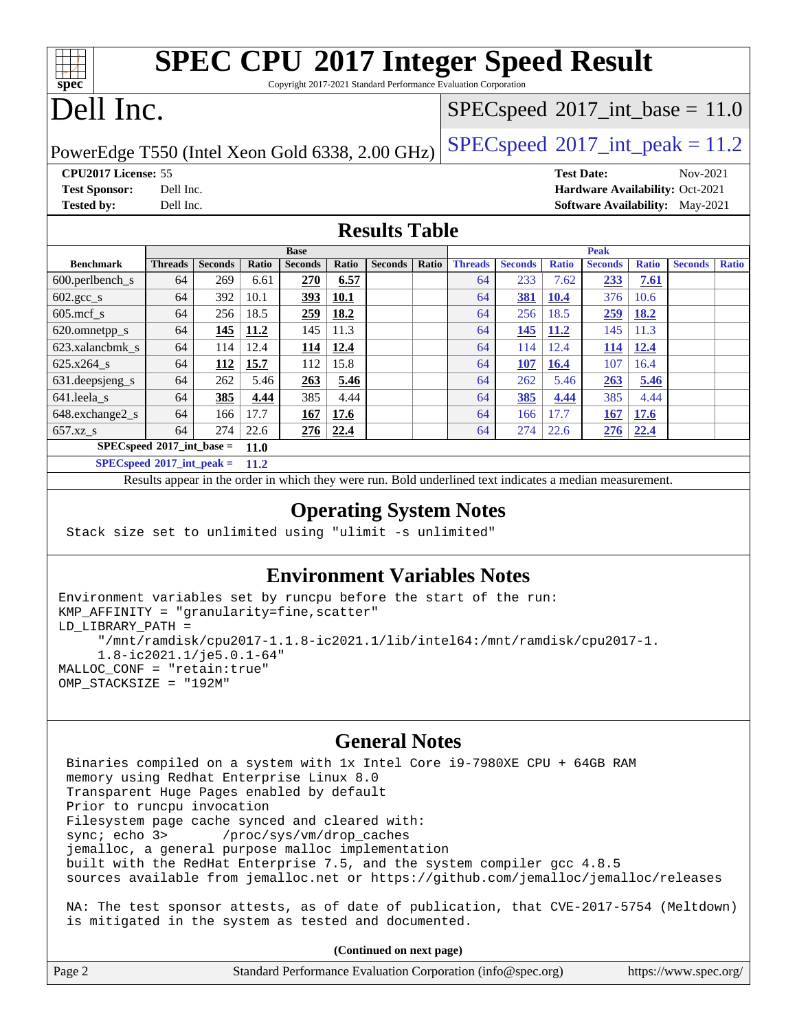| <b>SPEC CPU®2017 Integer Speed Result</b><br>$spec*$<br>Copyright 2017-2021 Standard Performance Evaluation Corporation |                      |                |       |                |       |                                            |                                            |                |                |                   |                |              |                                        |              |
|-------------------------------------------------------------------------------------------------------------------------|----------------------|----------------|-------|----------------|-------|--------------------------------------------|--------------------------------------------|----------------|----------------|-------------------|----------------|--------------|----------------------------------------|--------------|
|                                                                                                                         |                      |                |       |                |       |                                            |                                            |                |                |                   |                |              |                                        |              |
| Dell Inc.                                                                                                               |                      |                |       |                |       |                                            | $SPEC speed^{\circ}2017\_int\_base = 11.0$ |                |                |                   |                |              |                                        |              |
|                                                                                                                         |                      |                |       |                |       |                                            |                                            |                |                |                   |                |              |                                        |              |
| PowerEdge T550 (Intel Xeon Gold 6338, 2.00 GHz)                                                                         |                      |                |       |                |       | $SPEC speed^{\circ}2017\_int\_peak = 11.2$ |                                            |                |                |                   |                |              |                                        |              |
| CPU <sub>2017</sub> License: 55                                                                                         |                      |                |       |                |       |                                            |                                            |                |                | <b>Test Date:</b> |                |              | Nov-2021                               |              |
| <b>Test Sponsor:</b>                                                                                                    | Dell Inc.            |                |       |                |       |                                            |                                            |                |                |                   |                |              | Hardware Availability: Oct-2021        |              |
| <b>Tested by:</b>                                                                                                       | Dell Inc.            |                |       |                |       |                                            |                                            |                |                |                   |                |              | <b>Software Availability:</b> May-2021 |              |
|                                                                                                                         | <b>Results Table</b> |                |       |                |       |                                            |                                            |                |                |                   |                |              |                                        |              |
| <b>Peak</b><br><b>Base</b>                                                                                              |                      |                |       |                |       |                                            |                                            |                |                |                   |                |              |                                        |              |
| <b>Benchmark</b>                                                                                                        | <b>Threads</b>       | <b>Seconds</b> | Ratio | <b>Seconds</b> | Ratio | <b>Seconds</b>                             | Ratio                                      | <b>Threads</b> | <b>Seconds</b> | <b>Ratio</b>      | <b>Seconds</b> | <b>Ratio</b> | <b>Seconds</b>                         | <b>Ratio</b> |
| 600.perlbench_s                                                                                                         | 64                   | 269            | 6.61  | 270            | 6.57  |                                            |                                            | 64             | 233            | 7.62              | 233            | 7.61         |                                        |              |
| $602.\text{gcc}\_\text{s}$                                                                                              | 64                   |                |       |                |       |                                            |                                            |                |                |                   |                |              |                                        |              |
|                                                                                                                         |                      | 392            | 10.1  | 393            | 10.1  |                                            |                                            | 64             | 381            | <b>10.4</b>       | 376            | 10.6         |                                        |              |
| $605$ .mcf s                                                                                                            | 64                   | 256            | 18.5  | 259            | 18.2  |                                            |                                            | 64             | 256            | 18.5              | 259            | 18.2         |                                        |              |
| 620.omnetpp_s                                                                                                           | 64                   | 145            | 11.2  | 145            | 11.3  |                                            |                                            | 64             | 145            | 11.2              | 145            | 11.3         |                                        |              |
| 623.xalancbmk s                                                                                                         | 64                   | 114            | 12.4  | 114            | 12.4  |                                            |                                            | 64             | 114            | 12.4              | <b>114</b>     | 12.4         |                                        |              |
| 625.x264 s                                                                                                              | 64                   | 112            | 15.7  | 112            | 15.8  |                                            |                                            | 64             | <b>107</b>     | 16.4              | 107            | 16.4         |                                        |              |
| 631.deepsjeng_s                                                                                                         | 64                   | 262            | 5.46  | 263            | 5.46  |                                            |                                            | 64             | 262            | 5.46              | 263            | 5.46         |                                        |              |
| 641.leela s                                                                                                             | 64                   | 385            | 4.44  | 385            | 4.44  |                                            |                                            | 64             | 385            | 4.44              | 385            | 4.44         |                                        |              |
| 648.exchange2_s                                                                                                         | 64                   | 166            | 17.7  | 167            | 17.6  |                                            |                                            | 64             | 166            | 17.7              | 167            | 17.6         |                                        |              |
| $657.xz$ <sub>S</sub>                                                                                                   | 64                   | 274            | 22.6  | 276            | 22.4  |                                            |                                            | 64             | 274            | 22.6              | 276            | 22.4         |                                        |              |

**[SPECspeed](http://www.spec.org/auto/cpu2017/Docs/result-fields.html#SPECspeed2017intpeak)[2017\\_int\\_peak =](http://www.spec.org/auto/cpu2017/Docs/result-fields.html#SPECspeed2017intpeak) 11.2**

Results appear in the [order in which they were run.](http://www.spec.org/auto/cpu2017/Docs/result-fields.html#RunOrder) Bold underlined text [indicates a median measurement.](http://www.spec.org/auto/cpu2017/Docs/result-fields.html#Median)

#### **[Operating System Notes](http://www.spec.org/auto/cpu2017/Docs/result-fields.html#OperatingSystemNotes)**

Stack size set to unlimited using "ulimit -s unlimited"

#### **[Environment Variables Notes](http://www.spec.org/auto/cpu2017/Docs/result-fields.html#EnvironmentVariablesNotes)**

```
Environment variables set by runcpu before the start of the run:
KMP_AFFINITY = "granularity=fine,scatter"
LD_LIBRARY_PATH =
      "/mnt/ramdisk/cpu2017-1.1.8-ic2021.1/lib/intel64:/mnt/ramdisk/cpu2017-1.
      1.8-ic2021.1/je5.0.1-64"
MALLOC_CONF = "retain:true"
OMP_STACKSIZE = "192M"
```
#### **[General Notes](http://www.spec.org/auto/cpu2017/Docs/result-fields.html#GeneralNotes)**

 Binaries compiled on a system with 1x Intel Core i9-7980XE CPU + 64GB RAM memory using Redhat Enterprise Linux 8.0 Transparent Huge Pages enabled by default Prior to runcpu invocation Filesystem page cache synced and cleared with: sync; echo 3> /proc/sys/vm/drop\_caches jemalloc, a general purpose malloc implementation built with the RedHat Enterprise 7.5, and the system compiler gcc 4.8.5 sources available from jemalloc.net or <https://github.com/jemalloc/jemalloc/releases> NA: The test sponsor attests, as of date of publication, that CVE-2017-5754 (Meltdown) is mitigated in the system as tested and documented.

**(Continued on next page)**

|        | $\chi$ commute on near page                                 |                       |
|--------|-------------------------------------------------------------|-----------------------|
| Page 2 | Standard Performance Evaluation Corporation (info@spec.org) | https://www.spec.org/ |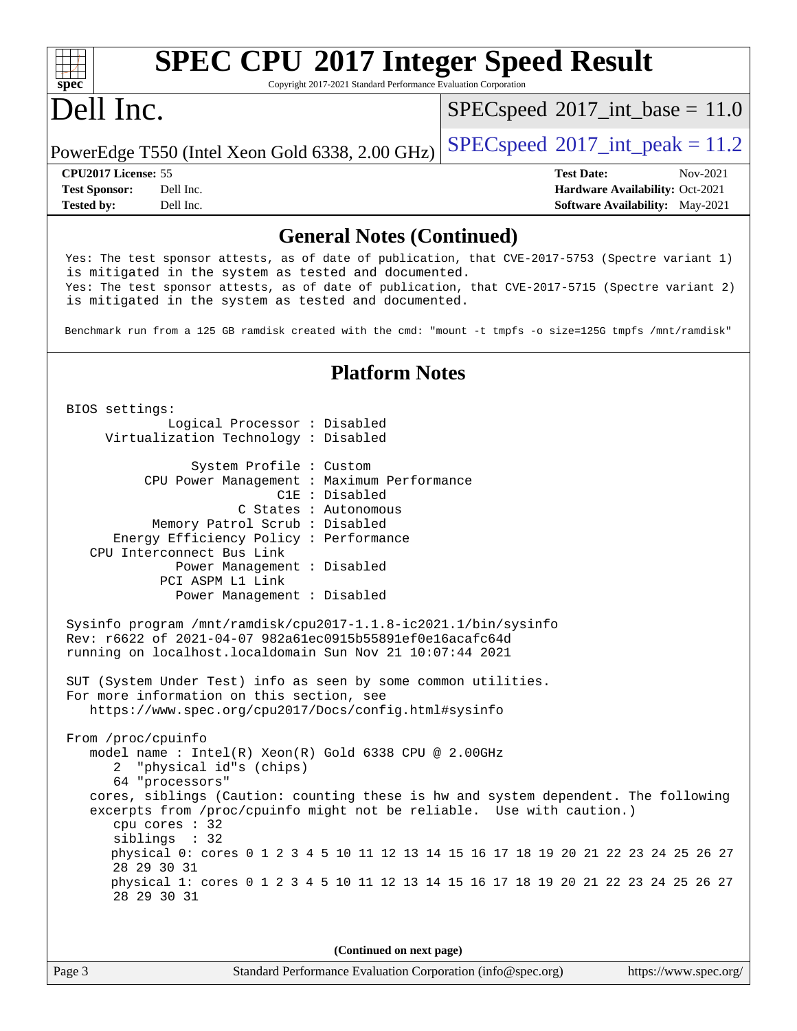#### **[spec](http://www.spec.org/) [SPEC CPU](http://www.spec.org/auto/cpu2017/Docs/result-fields.html#SPECCPU2017IntegerSpeedResult)[2017 Integer Speed Result](http://www.spec.org/auto/cpu2017/Docs/result-fields.html#SPECCPU2017IntegerSpeedResult)** Copyright 2017-2021 Standard Performance Evaluation Corporation Dell Inc. PowerEdge T550 (Intel Xeon Gold 6338, 2.00 GHz)  $\left|$  [SPECspeed](http://www.spec.org/auto/cpu2017/Docs/result-fields.html#SPECspeed2017intpeak)®[2017\\_int\\_peak = 1](http://www.spec.org/auto/cpu2017/Docs/result-fields.html#SPECspeed2017intpeak)1.2  $SPECspeed^{\circ}2017\_int\_base = 11.0$  $SPECspeed^{\circ}2017\_int\_base = 11.0$ **[CPU2017 License:](http://www.spec.org/auto/cpu2017/Docs/result-fields.html#CPU2017License)** 55 **[Test Date:](http://www.spec.org/auto/cpu2017/Docs/result-fields.html#TestDate)** Nov-2021 **[Test Sponsor:](http://www.spec.org/auto/cpu2017/Docs/result-fields.html#TestSponsor)** Dell Inc. **[Hardware Availability:](http://www.spec.org/auto/cpu2017/Docs/result-fields.html#HardwareAvailability)** Oct-2021 **[Tested by:](http://www.spec.org/auto/cpu2017/Docs/result-fields.html#Testedby)** Dell Inc. Dell Inc. **[Software Availability:](http://www.spec.org/auto/cpu2017/Docs/result-fields.html#SoftwareAvailability)** May-2021 **[General Notes \(Continued\)](http://www.spec.org/auto/cpu2017/Docs/result-fields.html#GeneralNotes)** Yes: The test sponsor attests, as of date of publication, that CVE-2017-5753 (Spectre variant 1) is mitigated in the system as tested and documented. Yes: The test sponsor attests, as of date of publication, that CVE-2017-5715 (Spectre variant 2) is mitigated in the system as tested and documented. Benchmark run from a 125 GB ramdisk created with the cmd: "mount -t tmpfs -o size=125G tmpfs /mnt/ramdisk" **[Platform Notes](http://www.spec.org/auto/cpu2017/Docs/result-fields.html#PlatformNotes)** BIOS settings: Logical Processor : Disabled Virtualization Technology : Disabled System Profile : Custom CPU Power Management : Maximum Performance C1E : Disabled C States : Autonomous Memory Patrol Scrub : Disabled Energy Efficiency Policy : Performance CPU Interconnect Bus Link Power Management : Disabled PCI ASPM L1 Link Power Management : Disabled Sysinfo program /mnt/ramdisk/cpu2017-1.1.8-ic2021.1/bin/sysinfo Rev: r6622 of 2021-04-07 982a61ec0915b55891ef0e16acafc64d running on localhost.localdomain Sun Nov 21 10:07:44 2021 SUT (System Under Test) info as seen by some common utilities. For more information on this section, see <https://www.spec.org/cpu2017/Docs/config.html#sysinfo> From /proc/cpuinfo model name : Intel(R) Xeon(R) Gold 6338 CPU @ 2.00GHz 2 "physical id"s (chips) 64 "processors" cores, siblings (Caution: counting these is hw and system dependent. The following

 excerpts from /proc/cpuinfo might not be reliable. Use with caution.) cpu cores : 32 siblings : 32 physical 0: cores 0 1 2 3 4 5 10 11 12 13 14 15 16 17 18 19 20 21 22 23 24 25 26 27 28 29 30 31 physical 1: cores 0 1 2 3 4 5 10 11 12 13 14 15 16 17 18 19 20 21 22 23 24 25 26 27 28 29 30 31

**(Continued on next page)**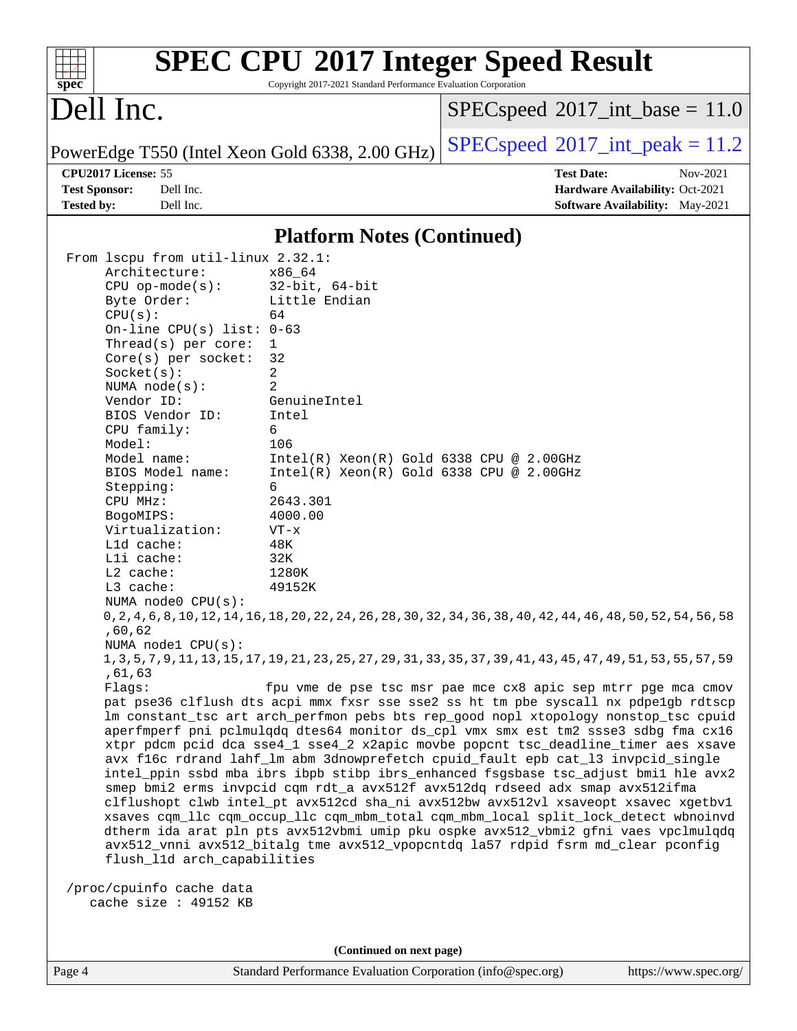| $spec^*$<br>Dell Inc. |                                    |                                                 | $SPEC speed^{\circ}2017\_int\_base = 11.0$                                                                                                                         |
|-----------------------|------------------------------------|-------------------------------------------------|--------------------------------------------------------------------------------------------------------------------------------------------------------------------|
|                       |                                    |                                                 |                                                                                                                                                                    |
|                       |                                    | PowerEdge T550 (Intel Xeon Gold 6338, 2.00 GHz) | $SPEC speed^{\circ}2017\_int\_peak = 11.2$                                                                                                                         |
| CPU2017 License: 55   |                                    |                                                 | <b>Test Date:</b><br>Nov-2021                                                                                                                                      |
| <b>Test Sponsor:</b>  | Dell Inc.<br>Dell Inc.             |                                                 | Hardware Availability: Oct-2021                                                                                                                                    |
| <b>Tested by:</b>     |                                    |                                                 | Software Availability: May-2021                                                                                                                                    |
|                       |                                    | <b>Platform Notes (Continued)</b>               |                                                                                                                                                                    |
|                       | From lscpu from util-linux 2.32.1: |                                                 |                                                                                                                                                                    |
|                       | Architecture:                      | x86_64                                          |                                                                                                                                                                    |
|                       | $CPU$ op-mode( $s$ ):              | $32$ -bit, $64$ -bit                            |                                                                                                                                                                    |
| Byte Order:           |                                    | Little Endian                                   |                                                                                                                                                                    |
| CPU(s):               |                                    | 64                                              |                                                                                                                                                                    |
|                       | On-line $CPU(s)$ list:             | $0 - 63$                                        |                                                                                                                                                                    |
|                       | Thread(s) per core:                | 1                                               |                                                                                                                                                                    |
|                       | $Core(s)$ per socket:              | 32<br>2                                         |                                                                                                                                                                    |
| Socket(s):            | NUMA $node(s)$ :                   | 2                                               |                                                                                                                                                                    |
| Vendor ID:            |                                    | GenuineIntel                                    |                                                                                                                                                                    |
|                       | BIOS Vendor ID:                    | Intel                                           |                                                                                                                                                                    |
| CPU family:           |                                    | 6                                               |                                                                                                                                                                    |
| Model:                |                                    | 106                                             |                                                                                                                                                                    |
| Model name:           |                                    | $Intel(R) Xeon(R) Gold 6338 CPU @ 2.00GHz$      |                                                                                                                                                                    |
|                       | BIOS Model name:                   | $Intel(R)$ Xeon $(R)$ Gold 6338 CPU @ 2.00GHz   |                                                                                                                                                                    |
| Stepping:             |                                    | 6                                               |                                                                                                                                                                    |
| CPU MHz:              |                                    | 2643.301                                        |                                                                                                                                                                    |
| BogoMIPS:             |                                    | 4000.00                                         |                                                                                                                                                                    |
|                       | Virtualization:                    | $VT - x$                                        |                                                                                                                                                                    |
| L1d cache:            |                                    | 48K                                             |                                                                                                                                                                    |
| Lli cache:            |                                    | 32K                                             |                                                                                                                                                                    |
| L2 cache:             |                                    | 1280K                                           |                                                                                                                                                                    |
| L3 cache:             |                                    | 49152K                                          |                                                                                                                                                                    |
|                       | NUMA $node0$ $CPU(s)$ :            |                                                 |                                                                                                                                                                    |
|                       |                                    |                                                 | 0, 2, 4, 6, 8, 10, 12, 14, 16, 18, 20, 22, 24, 26, 28, 30, 32, 34, 36, 38, 40, 42, 44, 46, 48, 50, 52, 54, 56, 58                                                  |
| ,60,62                | NUMA node1 CPU(s):                 |                                                 |                                                                                                                                                                    |
|                       |                                    |                                                 | 1, 3, 5, 7, 9, 11, 13, 15, 17, 19, 21, 23, 25, 27, 29, 31, 33, 35, 37, 39, 41, 43, 45, 47, 49, 51, 53, 55, 57                                                      |
| ,61,63                |                                    |                                                 |                                                                                                                                                                    |
| Flags:                |                                    |                                                 | fpu vme de pse tsc msr pae mce cx8 apic sep mtrr pge mca cmov                                                                                                      |
|                       |                                    |                                                 | pat pse36 clflush dts acpi mmx fxsr sse sse2 ss ht tm pbe syscall nx pdpelgb rdtscp                                                                                |
|                       |                                    |                                                 | lm constant_tsc art arch_perfmon pebs bts rep_good nopl xtopology nonstop_tsc cpuid                                                                                |
|                       |                                    |                                                 | aperfmperf pni pclmulqdq dtes64 monitor ds_cpl vmx smx est tm2 ssse3 sdbg fma cx16                                                                                 |
|                       |                                    |                                                 | xtpr pdcm pcid dca sse4_1 sse4_2 x2apic movbe popcnt tsc_deadline_timer aes xsave                                                                                  |
|                       |                                    |                                                 | avx f16c rdrand lahf_lm abm 3dnowprefetch cpuid_fault epb cat_13 invpcid_single                                                                                    |
|                       |                                    |                                                 | intel_ppin ssbd mba ibrs ibpb stibp ibrs_enhanced fsgsbase tsc_adjust bmil hle avx2                                                                                |
|                       |                                    |                                                 | smep bmi2 erms invpcid cqm rdt_a avx512f avx512dq rdseed adx smap avx512ifma<br>clflushopt clwb intel_pt avx512cd sha_ni avx512bw avx512vl xsaveopt xsavec xgetbvl |
|                       |                                    |                                                 | xsaves cqm_llc cqm_occup_llc cqm_mbm_total cqm_mbm_local split_lock_detect wbnoinvd                                                                                |
|                       |                                    |                                                 | dtherm ida arat pln pts avx512vbmi umip pku ospke avx512_vbmi2 gfni vaes vpclmulqdq                                                                                |
|                       |                                    |                                                 | avx512_vnni avx512_bitalg tme avx512_vpopcntdq la57 rdpid fsrm md_clear pconfig                                                                                    |
|                       | flush_l1d arch_capabilities        |                                                 |                                                                                                                                                                    |
|                       |                                    |                                                 |                                                                                                                                                                    |
|                       | /proc/cpuinfo cache data           |                                                 |                                                                                                                                                                    |
|                       | cache size : 49152 KB              |                                                 |                                                                                                                                                                    |
|                       |                                    |                                                 |                                                                                                                                                                    |
|                       |                                    |                                                 |                                                                                                                                                                    |
|                       |                                    |                                                 |                                                                                                                                                                    |

**(Continued on next page)**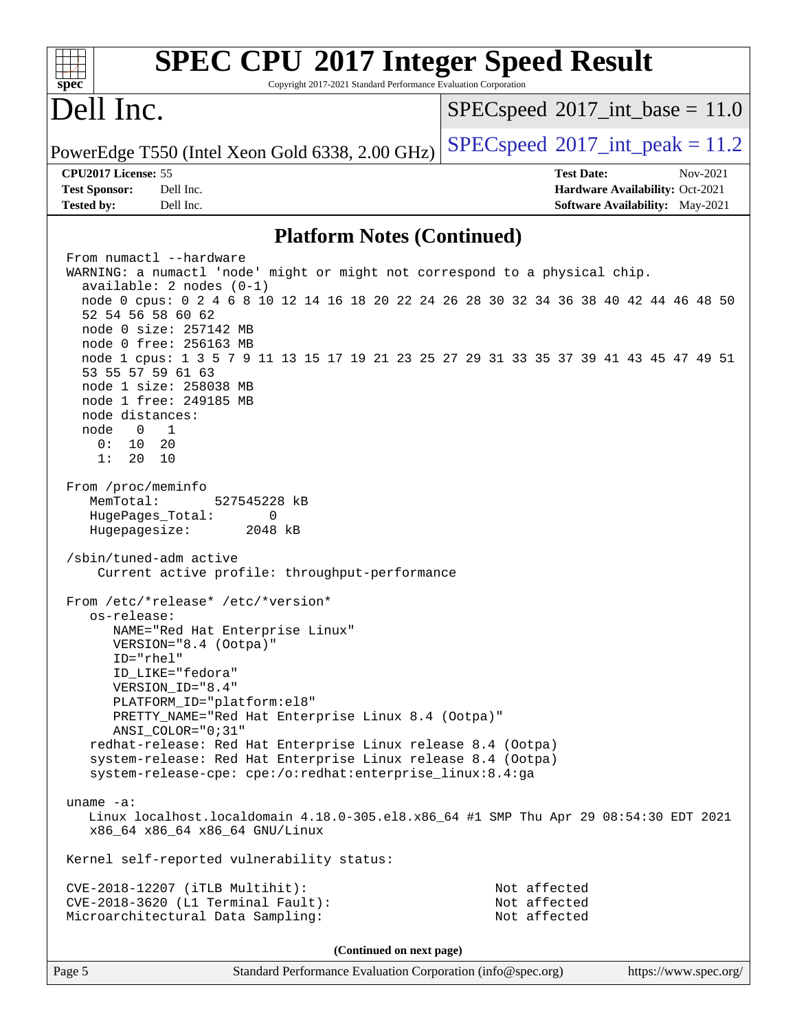| <b>SPEC CPU®2017 Integer Speed Result</b>                                                                                               |                                            |
|-----------------------------------------------------------------------------------------------------------------------------------------|--------------------------------------------|
| spec<br>Copyright 2017-2021 Standard Performance Evaluation Corporation                                                                 |                                            |
| Dell Inc.                                                                                                                               | $SPEC speed^{\circ}2017\_int\_base = 11.0$ |
| PowerEdge T550 (Intel Xeon Gold 6338, 2.00 GHz)                                                                                         | $SPEC speed^{\circ}2017\_int\_peak = 11.2$ |
| CPU2017 License: 55                                                                                                                     | <b>Test Date:</b><br>Nov-2021              |
| <b>Test Sponsor:</b><br>Dell Inc.                                                                                                       | Hardware Availability: Oct-2021            |
| <b>Tested by:</b><br>Dell Inc.                                                                                                          | Software Availability: May-2021            |
| <b>Platform Notes (Continued)</b>                                                                                                       |                                            |
| From numactl --hardware<br>WARNING: a numactl 'node' might or might not correspond to a physical chip.                                  |                                            |
| $available: 2 nodes (0-1)$                                                                                                              |                                            |
| node 0 cpus: 0 2 4 6 8 10 12 14 16 18 20 22 24 26 28 30 32 34 36 38 40 42 44 46 48 50<br>52 54 56 58 60 62                              |                                            |
| node 0 size: 257142 MB<br>node 0 free: 256163 MB                                                                                        |                                            |
| node 1 cpus: 1 3 5 7 9 11 13 15 17 19 21 23 25 27 29 31 33 35 37 39 41 43 45 47 49 51<br>53 55 57 59 61 63                              |                                            |
| node 1 size: 258038 MB                                                                                                                  |                                            |
| node 1 free: 249185 MB<br>node distances:                                                                                               |                                            |
| $\overline{1}$<br>node<br>$\overline{0}$                                                                                                |                                            |
| 0 :<br>10<br>20                                                                                                                         |                                            |
| 1:<br>20<br>10                                                                                                                          |                                            |
| From /proc/meminfo<br>MemTotal:<br>527545228 kB                                                                                         |                                            |
| HugePages_Total:<br>0                                                                                                                   |                                            |
| Hugepagesize:<br>2048 kB                                                                                                                |                                            |
| /sbin/tuned-adm active<br>Current active profile: throughput-performance                                                                |                                            |
| From /etc/*release* /etc/*version*<br>os-release:                                                                                       |                                            |
| NAME="Red Hat Enterprise Linux"<br>VERSION="8.4 (Ootpa)"                                                                                |                                            |
| $ID="rhe1"$                                                                                                                             |                                            |
| ID LIKE="fedora"<br>VERSION_ID="8.4"                                                                                                    |                                            |
| PLATFORM_ID="platform:el8"                                                                                                              |                                            |
| PRETTY_NAME="Red Hat Enterprise Linux 8.4 (Ootpa)"                                                                                      |                                            |
| $ANSI\_COLOR = "0; 31"$                                                                                                                 |                                            |
| redhat-release: Red Hat Enterprise Linux release 8.4 (Ootpa)<br>system-release: Red Hat Enterprise Linux release 8.4 (Ootpa)            |                                            |
| system-release-cpe: cpe:/o:redhat:enterprise_linux:8.4:ga                                                                               |                                            |
|                                                                                                                                         |                                            |
| uname $-a$ :<br>Linux localhost.localdomain 4.18.0-305.el8.x86_64 #1 SMP Thu Apr 29 08:54:30 EDT 2021<br>x86_64 x86_64 x86_64 GNU/Linux |                                            |
| Kernel self-reported vulnerability status:                                                                                              |                                            |
| CVE-2018-12207 (iTLB Multihit):                                                                                                         | Not affected                               |
| CVE-2018-3620 (L1 Terminal Fault):                                                                                                      | Not affected                               |
| Microarchitectural Data Sampling:                                                                                                       | Not affected                               |
| (Continued on next page)                                                                                                                |                                            |
| Page 5<br>Standard Performance Evaluation Corporation (info@spec.org)                                                                   | https://www.spec.org/                      |
|                                                                                                                                         |                                            |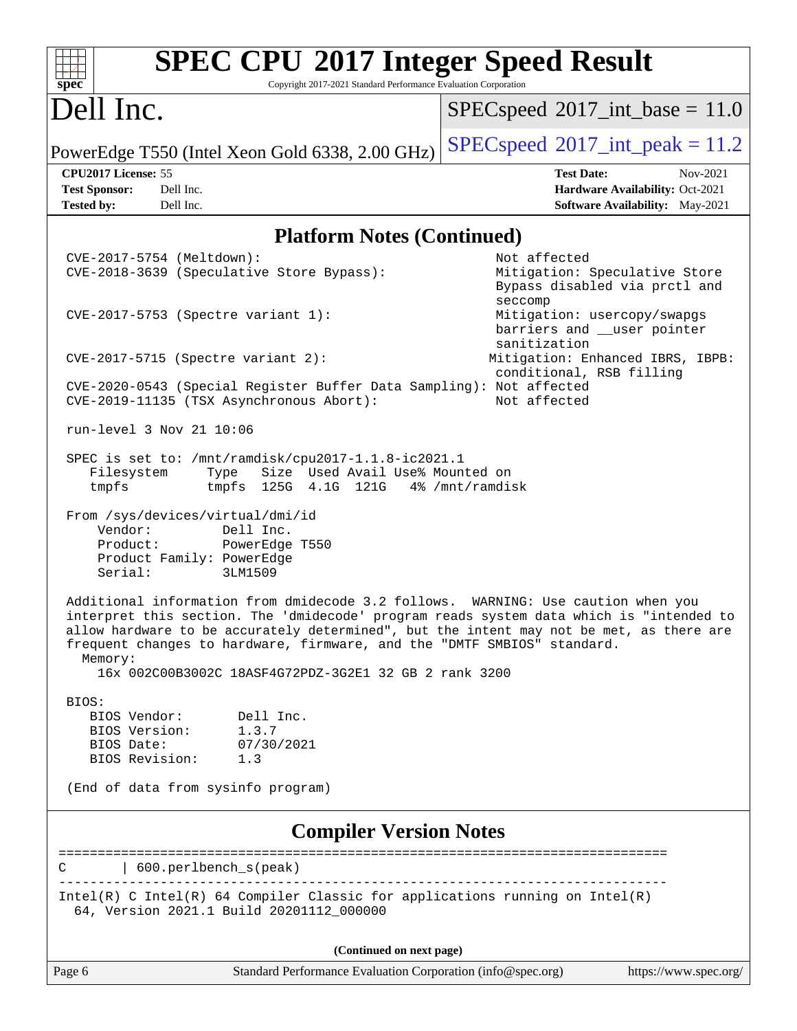| <b>SPEC CPU®2017 Integer Speed Result</b><br>Spec<br>Copyright 2017-2021 Standard Performance Evaluation Corporation                                                                                                                                                                                                                                                                                                   |                                                                                                     |  |  |  |  |  |  |  |
|------------------------------------------------------------------------------------------------------------------------------------------------------------------------------------------------------------------------------------------------------------------------------------------------------------------------------------------------------------------------------------------------------------------------|-----------------------------------------------------------------------------------------------------|--|--|--|--|--|--|--|
| Dell Inc.                                                                                                                                                                                                                                                                                                                                                                                                              | $SPEC speed$ <sup>®</sup> 2017_int_base = 11.0                                                      |  |  |  |  |  |  |  |
| PowerEdge T550 (Intel Xeon Gold 6338, 2.00 GHz)                                                                                                                                                                                                                                                                                                                                                                        | $SPEC speed^{\circ}2017\_int\_peak = 11.2$                                                          |  |  |  |  |  |  |  |
| CPU2017 License: 55<br><b>Test Sponsor:</b><br>Dell Inc.<br><b>Tested by:</b><br>Dell Inc.                                                                                                                                                                                                                                                                                                                             | <b>Test Date:</b><br>Nov-2021<br>Hardware Availability: Oct-2021<br>Software Availability: May-2021 |  |  |  |  |  |  |  |
|                                                                                                                                                                                                                                                                                                                                                                                                                        | <b>Platform Notes (Continued)</b>                                                                   |  |  |  |  |  |  |  |
| CVE-2017-5754 (Meltdown):<br>CVE-2018-3639 (Speculative Store Bypass):                                                                                                                                                                                                                                                                                                                                                 | Not affected<br>Mitigation: Speculative Store<br>Bypass disabled via prctl and<br>seccomp           |  |  |  |  |  |  |  |
| CVE-2017-5753 (Spectre variant 1):                                                                                                                                                                                                                                                                                                                                                                                     | Mitigation: usercopy/swapgs<br>barriers and __user pointer<br>sanitization                          |  |  |  |  |  |  |  |
| CVE-2017-5715 (Spectre variant 2):                                                                                                                                                                                                                                                                                                                                                                                     | Mitigation: Enhanced IBRS, IBPB:<br>conditional, RSB filling                                        |  |  |  |  |  |  |  |
| CVE-2020-0543 (Special Register Buffer Data Sampling): Not affected<br>Not affected<br>CVE-2019-11135 (TSX Asynchronous Abort):                                                                                                                                                                                                                                                                                        |                                                                                                     |  |  |  |  |  |  |  |
| run-level 3 Nov 21 10:06                                                                                                                                                                                                                                                                                                                                                                                               |                                                                                                     |  |  |  |  |  |  |  |
| SPEC is set to: /mnt/ramdisk/cpu2017-1.1.8-ic2021.1<br>Size Used Avail Use% Mounted on<br>Filesystem<br>Type<br>tmpfs<br>tmpfs 125G 4.1G 121G                                                                                                                                                                                                                                                                          | 4% /mnt/ramdisk                                                                                     |  |  |  |  |  |  |  |
| From /sys/devices/virtual/dmi/id<br>Vendor:<br>Dell Inc.<br>Product:<br>PowerEdge T550<br>Product Family: PowerEdge<br>Serial:<br>3LM1509                                                                                                                                                                                                                                                                              |                                                                                                     |  |  |  |  |  |  |  |
| Additional information from dmidecode 3.2 follows. WARNING: Use caution when you<br>interpret this section. The 'dmidecode' program reads system data which is "intended to<br>allow hardware to be accurately determined", but the intent may not be met, as there are<br>frequent changes to hardware, firmware, and the "DMTF SMBIOS" standard.<br>Memory:<br>16x 002C00B3002C 18ASF4G72PDZ-3G2E1 32 GB 2 rank 3200 |                                                                                                     |  |  |  |  |  |  |  |
| BIOS:<br>BIOS Vendor:<br>Dell Inc.<br>1.3.7<br>BIOS Version:<br>BIOS Date:<br>07/30/2021<br>BIOS Revision:<br>1.3                                                                                                                                                                                                                                                                                                      |                                                                                                     |  |  |  |  |  |  |  |
| (End of data from sysinfo program)                                                                                                                                                                                                                                                                                                                                                                                     |                                                                                                     |  |  |  |  |  |  |  |
| <b>Compiler Version Notes</b>                                                                                                                                                                                                                                                                                                                                                                                          |                                                                                                     |  |  |  |  |  |  |  |
| $\vert$ 600.perlbench_s(peak)<br>С                                                                                                                                                                                                                                                                                                                                                                                     | ___________________________________                                                                 |  |  |  |  |  |  |  |
| Intel(R) C Intel(R) 64 Compiler Classic for applications running on Intel(R)<br>64, Version 2021.1 Build 20201112_000000                                                                                                                                                                                                                                                                                               |                                                                                                     |  |  |  |  |  |  |  |
| (Continued on next page)                                                                                                                                                                                                                                                                                                                                                                                               |                                                                                                     |  |  |  |  |  |  |  |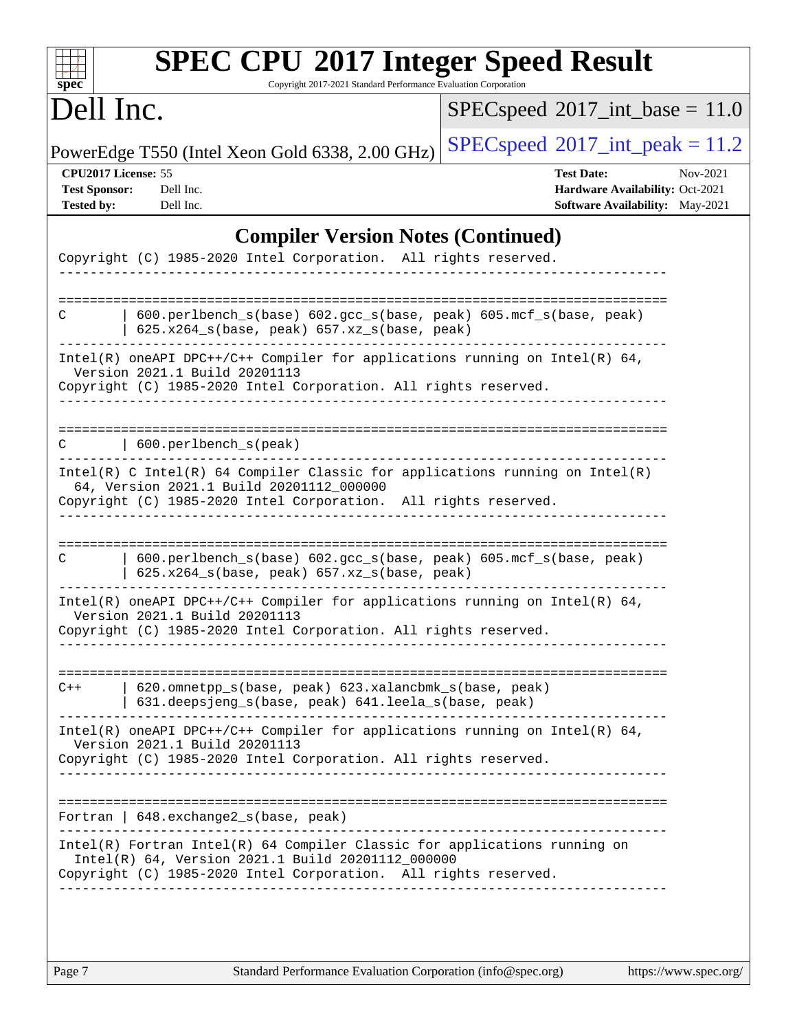| $SPEC speed^{\circ}2017\_int\_base = 11.0$<br>$SPEC speed^{\circ}2017\_int\_peak = 11.2$<br><b>Test Date:</b><br>Nov-2021<br>Hardware Availability: Oct-2021<br>Software Availability: May-2021<br><b>Compiler Version Notes (Continued)</b><br>Copyright (C) 1985-2020 Intel Corporation. All rights reserved.<br>600.perlbench_s(base) 602.gcc_s(base, peak) 605.mcf_s(base, peak)<br>Intel(R) oneAPI DPC++/C++ Compiler for applications running on Intel(R) 64,<br>Copyright (C) 1985-2020 Intel Corporation. All rights reserved. |
|----------------------------------------------------------------------------------------------------------------------------------------------------------------------------------------------------------------------------------------------------------------------------------------------------------------------------------------------------------------------------------------------------------------------------------------------------------------------------------------------------------------------------------------|
|                                                                                                                                                                                                                                                                                                                                                                                                                                                                                                                                        |
|                                                                                                                                                                                                                                                                                                                                                                                                                                                                                                                                        |
|                                                                                                                                                                                                                                                                                                                                                                                                                                                                                                                                        |
|                                                                                                                                                                                                                                                                                                                                                                                                                                                                                                                                        |
|                                                                                                                                                                                                                                                                                                                                                                                                                                                                                                                                        |
|                                                                                                                                                                                                                                                                                                                                                                                                                                                                                                                                        |
|                                                                                                                                                                                                                                                                                                                                                                                                                                                                                                                                        |
|                                                                                                                                                                                                                                                                                                                                                                                                                                                                                                                                        |
| $Intel(R)$ C Intel(R) 64 Compiler Classic for applications running on Intel(R)<br>Copyright (C) 1985-2020 Intel Corporation. All rights reserved.                                                                                                                                                                                                                                                                                                                                                                                      |
| 600.perlbench_s(base) 602.gcc_s(base, peak) 605.mcf_s(base, peak)                                                                                                                                                                                                                                                                                                                                                                                                                                                                      |
| Intel(R) oneAPI DPC++/C++ Compiler for applications running on Intel(R) $64$ ,<br>Copyright (C) 1985-2020 Intel Corporation. All rights reserved.                                                                                                                                                                                                                                                                                                                                                                                      |
| 620.omnetpp_s(base, peak) 623.xalancbmk_s(base, peak)<br>631.deepsjeng_s(base, peak) 641.leela_s(base, peak)                                                                                                                                                                                                                                                                                                                                                                                                                           |
| $Intel(R)$ oneAPI DPC++/C++ Compiler for applications running on Intel(R) 64,<br>Copyright (C) 1985-2020 Intel Corporation. All rights reserved.                                                                                                                                                                                                                                                                                                                                                                                       |
|                                                                                                                                                                                                                                                                                                                                                                                                                                                                                                                                        |
| Intel(R) Fortran Intel(R) 64 Compiler Classic for applications running on<br>Copyright (C) 1985-2020 Intel Corporation. All rights reserved.<br>_____________________________                                                                                                                                                                                                                                                                                                                                                          |
| $625.x264_s(base, peak)$ 657.xz <sub>_S</sub> (base, peak)                                                                                                                                                                                                                                                                                                                                                                                                                                                                             |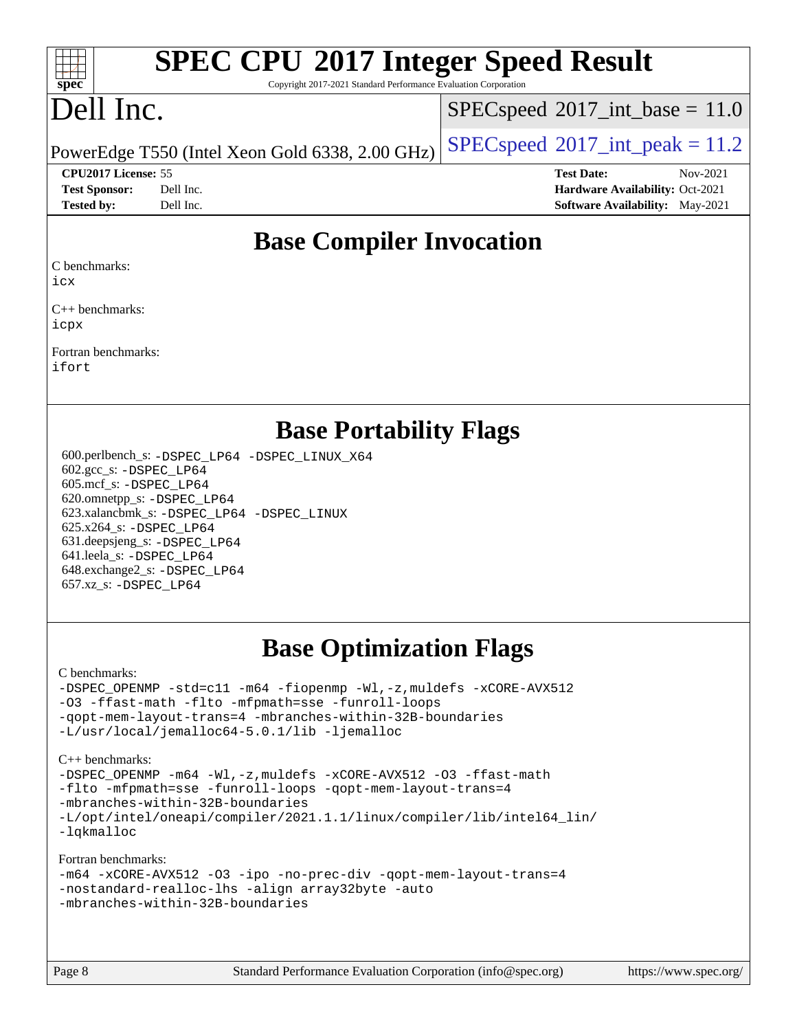#### $+\ +$ **[spec](http://www.spec.org/)**

# **[SPEC CPU](http://www.spec.org/auto/cpu2017/Docs/result-fields.html#SPECCPU2017IntegerSpeedResult)[2017 Integer Speed Result](http://www.spec.org/auto/cpu2017/Docs/result-fields.html#SPECCPU2017IntegerSpeedResult)**

Copyright 2017-2021 Standard Performance Evaluation Corporation

## Dell Inc.

 $SPECspeed^{\circ}2017\_int\_base = 11.0$  $SPECspeed^{\circ}2017\_int\_base = 11.0$ 

PowerEdge T550 (Intel Xeon Gold 6338, 2.00 GHz)  $\left|$  [SPECspeed](http://www.spec.org/auto/cpu2017/Docs/result-fields.html#SPECspeed2017intpeak)®[2017\\_int\\_peak = 1](http://www.spec.org/auto/cpu2017/Docs/result-fields.html#SPECspeed2017intpeak)1.2

**[CPU2017 License:](http://www.spec.org/auto/cpu2017/Docs/result-fields.html#CPU2017License)** 55 **[Test Date:](http://www.spec.org/auto/cpu2017/Docs/result-fields.html#TestDate)** Nov-2021 **[Test Sponsor:](http://www.spec.org/auto/cpu2017/Docs/result-fields.html#TestSponsor)** Dell Inc. **[Hardware Availability:](http://www.spec.org/auto/cpu2017/Docs/result-fields.html#HardwareAvailability)** Oct-2021 **[Tested by:](http://www.spec.org/auto/cpu2017/Docs/result-fields.html#Testedby)** Dell Inc. **[Software Availability:](http://www.spec.org/auto/cpu2017/Docs/result-fields.html#SoftwareAvailability)** May-2021

#### **[Base Compiler Invocation](http://www.spec.org/auto/cpu2017/Docs/result-fields.html#BaseCompilerInvocation)**

[C benchmarks](http://www.spec.org/auto/cpu2017/Docs/result-fields.html#Cbenchmarks):

[icx](http://www.spec.org/cpu2017/results/res2021q4/cpu2017-20211122-30203.flags.html#user_CCbase_intel_icx_fe2d28d19ae2a5db7c42fe0f2a2aed77cb715edd4aeb23434404a8be6683fe239869bb6ca8154ca98265c2e3b9226a719a0efe2953a4a7018c379b7010ccf087)

[C++ benchmarks:](http://www.spec.org/auto/cpu2017/Docs/result-fields.html#CXXbenchmarks) [icpx](http://www.spec.org/cpu2017/results/res2021q4/cpu2017-20211122-30203.flags.html#user_CXXbase_intel_icpx_1e918ed14c436bf4b9b7c8bcdd51d4539fc71b3df010bd1e9f8732d9c34c2b2914e48204a846820f3c0ebb4095dea797a5c30b458ac0b6dffac65d78f781f5ca)

[Fortran benchmarks](http://www.spec.org/auto/cpu2017/Docs/result-fields.html#Fortranbenchmarks): [ifort](http://www.spec.org/cpu2017/results/res2021q4/cpu2017-20211122-30203.flags.html#user_FCbase_intel_ifort_8111460550e3ca792625aed983ce982f94888b8b503583aa7ba2b8303487b4d8a21a13e7191a45c5fd58ff318f48f9492884d4413fa793fd88dd292cad7027ca)

#### **[Base Portability Flags](http://www.spec.org/auto/cpu2017/Docs/result-fields.html#BasePortabilityFlags)**

 600.perlbench\_s: [-DSPEC\\_LP64](http://www.spec.org/cpu2017/results/res2021q4/cpu2017-20211122-30203.flags.html#b600.perlbench_s_basePORTABILITY_DSPEC_LP64) [-DSPEC\\_LINUX\\_X64](http://www.spec.org/cpu2017/results/res2021q4/cpu2017-20211122-30203.flags.html#b600.perlbench_s_baseCPORTABILITY_DSPEC_LINUX_X64) 602.gcc\_s: [-DSPEC\\_LP64](http://www.spec.org/cpu2017/results/res2021q4/cpu2017-20211122-30203.flags.html#suite_basePORTABILITY602_gcc_s_DSPEC_LP64) 605.mcf\_s: [-DSPEC\\_LP64](http://www.spec.org/cpu2017/results/res2021q4/cpu2017-20211122-30203.flags.html#suite_basePORTABILITY605_mcf_s_DSPEC_LP64) 620.omnetpp\_s: [-DSPEC\\_LP64](http://www.spec.org/cpu2017/results/res2021q4/cpu2017-20211122-30203.flags.html#suite_basePORTABILITY620_omnetpp_s_DSPEC_LP64) 623.xalancbmk\_s: [-DSPEC\\_LP64](http://www.spec.org/cpu2017/results/res2021q4/cpu2017-20211122-30203.flags.html#suite_basePORTABILITY623_xalancbmk_s_DSPEC_LP64) [-DSPEC\\_LINUX](http://www.spec.org/cpu2017/results/res2021q4/cpu2017-20211122-30203.flags.html#b623.xalancbmk_s_baseCXXPORTABILITY_DSPEC_LINUX) 625.x264\_s: [-DSPEC\\_LP64](http://www.spec.org/cpu2017/results/res2021q4/cpu2017-20211122-30203.flags.html#suite_basePORTABILITY625_x264_s_DSPEC_LP64) 631.deepsjeng\_s: [-DSPEC\\_LP64](http://www.spec.org/cpu2017/results/res2021q4/cpu2017-20211122-30203.flags.html#suite_basePORTABILITY631_deepsjeng_s_DSPEC_LP64) 641.leela\_s: [-DSPEC\\_LP64](http://www.spec.org/cpu2017/results/res2021q4/cpu2017-20211122-30203.flags.html#suite_basePORTABILITY641_leela_s_DSPEC_LP64) 648.exchange2\_s: [-DSPEC\\_LP64](http://www.spec.org/cpu2017/results/res2021q4/cpu2017-20211122-30203.flags.html#suite_basePORTABILITY648_exchange2_s_DSPEC_LP64) 657.xz\_s: [-DSPEC\\_LP64](http://www.spec.org/cpu2017/results/res2021q4/cpu2017-20211122-30203.flags.html#suite_basePORTABILITY657_xz_s_DSPEC_LP64)

## **[Base Optimization Flags](http://www.spec.org/auto/cpu2017/Docs/result-fields.html#BaseOptimizationFlags)**

[C benchmarks](http://www.spec.org/auto/cpu2017/Docs/result-fields.html#Cbenchmarks):

[-DSPEC\\_OPENMP](http://www.spec.org/cpu2017/results/res2021q4/cpu2017-20211122-30203.flags.html#suite_CCbase_DSPEC_OPENMP) [-std=c11](http://www.spec.org/cpu2017/results/res2021q4/cpu2017-20211122-30203.flags.html#user_CCbase_std-icc-std_0e1c27790398a4642dfca32ffe6c27b5796f9c2d2676156f2e42c9c44eaad0c049b1cdb667a270c34d979996257aeb8fc440bfb01818dbc9357bd9d174cb8524) [-m64](http://www.spec.org/cpu2017/results/res2021q4/cpu2017-20211122-30203.flags.html#user_CCbase_m64-icc) [-fiopenmp](http://www.spec.org/cpu2017/results/res2021q4/cpu2017-20211122-30203.flags.html#user_CCbase_fiopenmp_4cde26b3fcccd23bd0bb70af4efc204325d72839eefa1147e34201101709f20b3deb62aad96701dea148529bf4ca48c90b72f3bf837ca148e297cf8a0ba6feb7) [-Wl,-z,muldefs](http://www.spec.org/cpu2017/results/res2021q4/cpu2017-20211122-30203.flags.html#user_CCbase_link_force_multiple1_b4cbdb97b34bdee9ceefcfe54f4c8ea74255f0b02a4b23e853cdb0e18eb4525ac79b5a88067c842dd0ee6996c24547a27a4b99331201badda8798ef8a743f577) [-xCORE-AVX512](http://www.spec.org/cpu2017/results/res2021q4/cpu2017-20211122-30203.flags.html#user_CCbase_f-xCORE-AVX512) [-O3](http://www.spec.org/cpu2017/results/res2021q4/cpu2017-20211122-30203.flags.html#user_CCbase_f-O3) [-ffast-math](http://www.spec.org/cpu2017/results/res2021q4/cpu2017-20211122-30203.flags.html#user_CCbase_f-ffast-math) [-flto](http://www.spec.org/cpu2017/results/res2021q4/cpu2017-20211122-30203.flags.html#user_CCbase_f-flto) [-mfpmath=sse](http://www.spec.org/cpu2017/results/res2021q4/cpu2017-20211122-30203.flags.html#user_CCbase_f-mfpmath_70eb8fac26bde974f8ab713bc9086c5621c0b8d2f6c86f38af0bd7062540daf19db5f3a066d8c6684be05d84c9b6322eb3b5be6619d967835195b93d6c02afa1) [-funroll-loops](http://www.spec.org/cpu2017/results/res2021q4/cpu2017-20211122-30203.flags.html#user_CCbase_f-funroll-loops) [-qopt-mem-layout-trans=4](http://www.spec.org/cpu2017/results/res2021q4/cpu2017-20211122-30203.flags.html#user_CCbase_f-qopt-mem-layout-trans_fa39e755916c150a61361b7846f310bcdf6f04e385ef281cadf3647acec3f0ae266d1a1d22d972a7087a248fd4e6ca390a3634700869573d231a252c784941a8) [-mbranches-within-32B-boundaries](http://www.spec.org/cpu2017/results/res2021q4/cpu2017-20211122-30203.flags.html#user_CCbase_f-mbranches-within-32B-boundaries) [-L/usr/local/jemalloc64-5.0.1/lib](http://www.spec.org/cpu2017/results/res2021q4/cpu2017-20211122-30203.flags.html#user_CCbase_jemalloc_link_path64_1_cc289568b1a6c0fd3b62c91b824c27fcb5af5e8098e6ad028160d21144ef1b8aef3170d2acf0bee98a8da324cfe4f67d0a3d0c4cc4673d993d694dc2a0df248b) [-ljemalloc](http://www.spec.org/cpu2017/results/res2021q4/cpu2017-20211122-30203.flags.html#user_CCbase_jemalloc_link_lib_d1249b907c500fa1c0672f44f562e3d0f79738ae9e3c4a9c376d49f265a04b9c99b167ecedbf6711b3085be911c67ff61f150a17b3472be731631ba4d0471706)

[C++ benchmarks:](http://www.spec.org/auto/cpu2017/Docs/result-fields.html#CXXbenchmarks)

[-DSPEC\\_OPENMP](http://www.spec.org/cpu2017/results/res2021q4/cpu2017-20211122-30203.flags.html#suite_CXXbase_DSPEC_OPENMP) [-m64](http://www.spec.org/cpu2017/results/res2021q4/cpu2017-20211122-30203.flags.html#user_CXXbase_m64-icc) [-Wl,-z,muldefs](http://www.spec.org/cpu2017/results/res2021q4/cpu2017-20211122-30203.flags.html#user_CXXbase_link_force_multiple1_b4cbdb97b34bdee9ceefcfe54f4c8ea74255f0b02a4b23e853cdb0e18eb4525ac79b5a88067c842dd0ee6996c24547a27a4b99331201badda8798ef8a743f577) [-xCORE-AVX512](http://www.spec.org/cpu2017/results/res2021q4/cpu2017-20211122-30203.flags.html#user_CXXbase_f-xCORE-AVX512) [-O3](http://www.spec.org/cpu2017/results/res2021q4/cpu2017-20211122-30203.flags.html#user_CXXbase_f-O3) [-ffast-math](http://www.spec.org/cpu2017/results/res2021q4/cpu2017-20211122-30203.flags.html#user_CXXbase_f-ffast-math) [-flto](http://www.spec.org/cpu2017/results/res2021q4/cpu2017-20211122-30203.flags.html#user_CXXbase_f-flto) [-mfpmath=sse](http://www.spec.org/cpu2017/results/res2021q4/cpu2017-20211122-30203.flags.html#user_CXXbase_f-mfpmath_70eb8fac26bde974f8ab713bc9086c5621c0b8d2f6c86f38af0bd7062540daf19db5f3a066d8c6684be05d84c9b6322eb3b5be6619d967835195b93d6c02afa1) [-funroll-loops](http://www.spec.org/cpu2017/results/res2021q4/cpu2017-20211122-30203.flags.html#user_CXXbase_f-funroll-loops) [-qopt-mem-layout-trans=4](http://www.spec.org/cpu2017/results/res2021q4/cpu2017-20211122-30203.flags.html#user_CXXbase_f-qopt-mem-layout-trans_fa39e755916c150a61361b7846f310bcdf6f04e385ef281cadf3647acec3f0ae266d1a1d22d972a7087a248fd4e6ca390a3634700869573d231a252c784941a8) [-mbranches-within-32B-boundaries](http://www.spec.org/cpu2017/results/res2021q4/cpu2017-20211122-30203.flags.html#user_CXXbase_f-mbranches-within-32B-boundaries) [-L/opt/intel/oneapi/compiler/2021.1.1/linux/compiler/lib/intel64\\_lin/](http://www.spec.org/cpu2017/results/res2021q4/cpu2017-20211122-30203.flags.html#user_CXXbase_linkpath_765a8c93c4ea33dfc565a33ecb48f4f7d02a6338709b3b362f341eb203a06426ce1d12ded4c7809f6ab6cf0e9f5515cffeb4efc405b63f85dc27a83bbbdeb3a3) [-lqkmalloc](http://www.spec.org/cpu2017/results/res2021q4/cpu2017-20211122-30203.flags.html#user_CXXbase_qkmalloc_link_lib_79a818439969f771c6bc311cfd333c00fc099dad35c030f5aab9dda831713d2015205805422f83de8875488a2991c0a156aaa600e1f9138f8fc37004abc96dc5)

[Fortran benchmarks](http://www.spec.org/auto/cpu2017/Docs/result-fields.html#Fortranbenchmarks):

| -m64 -xCORE-AVX512 -03 -ipo -no-prec-div -qopt-mem-layout-trans=4 |  |
|-------------------------------------------------------------------|--|
| -nostandard-realloc-lhs -align array32byte -auto                  |  |
| -mbranches-within-32B-boundaries                                  |  |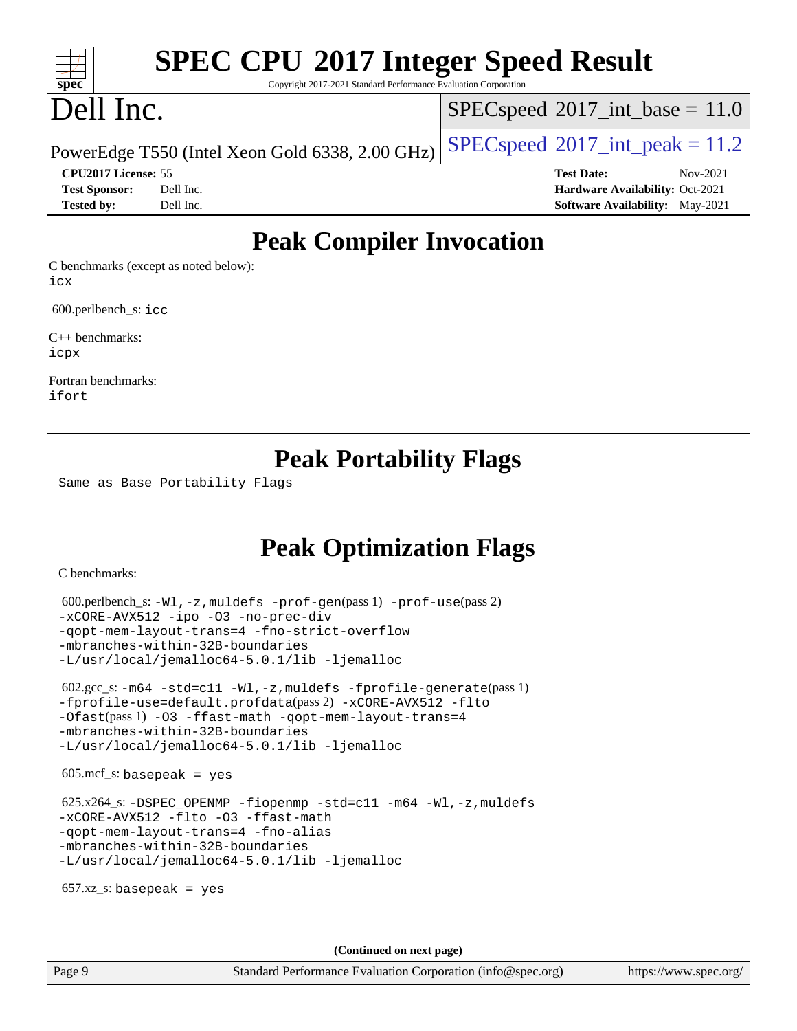# **[SPEC CPU](http://www.spec.org/auto/cpu2017/Docs/result-fields.html#SPECCPU2017IntegerSpeedResult)[2017 Integer Speed Result](http://www.spec.org/auto/cpu2017/Docs/result-fields.html#SPECCPU2017IntegerSpeedResult)**

Copyright 2017-2021 Standard Performance Evaluation Corporation

# Dell Inc.

**[spec](http://www.spec.org/)**

 $+\ +$ 

 $SPECspeed^{\circ}2017\_int\_base = 11.0$  $SPECspeed^{\circ}2017\_int\_base = 11.0$ 

PowerEdge T550 (Intel Xeon Gold 6338, 2.00 GHz)  $\left|$  [SPECspeed](http://www.spec.org/auto/cpu2017/Docs/result-fields.html#SPECspeed2017intpeak)®[2017\\_int\\_peak = 1](http://www.spec.org/auto/cpu2017/Docs/result-fields.html#SPECspeed2017intpeak)1.2

**[CPU2017 License:](http://www.spec.org/auto/cpu2017/Docs/result-fields.html#CPU2017License)** 55 **[Test Date:](http://www.spec.org/auto/cpu2017/Docs/result-fields.html#TestDate)** Nov-2021 **[Test Sponsor:](http://www.spec.org/auto/cpu2017/Docs/result-fields.html#TestSponsor)** Dell Inc. **[Hardware Availability:](http://www.spec.org/auto/cpu2017/Docs/result-fields.html#HardwareAvailability)** Oct-2021 **[Tested by:](http://www.spec.org/auto/cpu2017/Docs/result-fields.html#Testedby)** Dell Inc. **[Software Availability:](http://www.spec.org/auto/cpu2017/Docs/result-fields.html#SoftwareAvailability)** May-2021

## **[Peak Compiler Invocation](http://www.spec.org/auto/cpu2017/Docs/result-fields.html#PeakCompilerInvocation)**

[C benchmarks \(except as noted below\):](http://www.spec.org/auto/cpu2017/Docs/result-fields.html#Cbenchmarksexceptasnotedbelow) [icx](http://www.spec.org/cpu2017/results/res2021q4/cpu2017-20211122-30203.flags.html#user_CCpeak_intel_icx_fe2d28d19ae2a5db7c42fe0f2a2aed77cb715edd4aeb23434404a8be6683fe239869bb6ca8154ca98265c2e3b9226a719a0efe2953a4a7018c379b7010ccf087)

600.perlbench\_s: [icc](http://www.spec.org/cpu2017/results/res2021q4/cpu2017-20211122-30203.flags.html#user_peakCCLD600_perlbench_s_intel_icc_66fc1ee009f7361af1fbd72ca7dcefbb700085f36577c54f309893dd4ec40d12360134090235512931783d35fd58c0460139e722d5067c5574d8eaf2b3e37e92)

[C++ benchmarks](http://www.spec.org/auto/cpu2017/Docs/result-fields.html#CXXbenchmarks): [icpx](http://www.spec.org/cpu2017/results/res2021q4/cpu2017-20211122-30203.flags.html#user_CXXpeak_intel_icpx_1e918ed14c436bf4b9b7c8bcdd51d4539fc71b3df010bd1e9f8732d9c34c2b2914e48204a846820f3c0ebb4095dea797a5c30b458ac0b6dffac65d78f781f5ca)

[Fortran benchmarks:](http://www.spec.org/auto/cpu2017/Docs/result-fields.html#Fortranbenchmarks) [ifort](http://www.spec.org/cpu2017/results/res2021q4/cpu2017-20211122-30203.flags.html#user_FCpeak_intel_ifort_8111460550e3ca792625aed983ce982f94888b8b503583aa7ba2b8303487b4d8a21a13e7191a45c5fd58ff318f48f9492884d4413fa793fd88dd292cad7027ca)

## **[Peak Portability Flags](http://www.spec.org/auto/cpu2017/Docs/result-fields.html#PeakPortabilityFlags)**

Same as Base Portability Flags

## **[Peak Optimization Flags](http://www.spec.org/auto/cpu2017/Docs/result-fields.html#PeakOptimizationFlags)**

[C benchmarks](http://www.spec.org/auto/cpu2017/Docs/result-fields.html#Cbenchmarks):

```
 600.perlbench_s: -Wl,-z,muldefs -prof-gen(pass 1) -prof-use(pass 2)
-xCORE-AVX512 -ipo -O3 -no-prec-div
-qopt-mem-layout-trans=4 -fno-strict-overflow
-mbranches-within-32B-boundaries
-L/usr/local/jemalloc64-5.0.1/lib -ljemalloc
 602.gcc_s: -m64 -std=c11 -Wl,-z,muldefs -fprofile-generate(pass 1)
-fprofile-use=default.profdata(pass 2) -xCORE-AVX512 -flto
-Ofast(pass 1) -O3 -ffast-math -qopt-mem-layout-trans=4
-mbranches-within-32B-boundaries
-L/usr/local/jemalloc64-5.0.1/lib -ljemalloc
605 \text{.mcf}\text{-}\mathrm{s}: basepeak = yes
625.x264-fiopenmp-std=c11-m64-Wl,-z,muldefs
-xCORE-AVX512 -flto -O3 -ffast-math
-qopt-mem-layout-trans=4 -fno-alias
-mbranches-within-32B-boundaries
-L/usr/local/jemalloc64-5.0.1/lib -ljemalloc
657.xz s: basepeak = yes
                                     (Continued on next page)
```